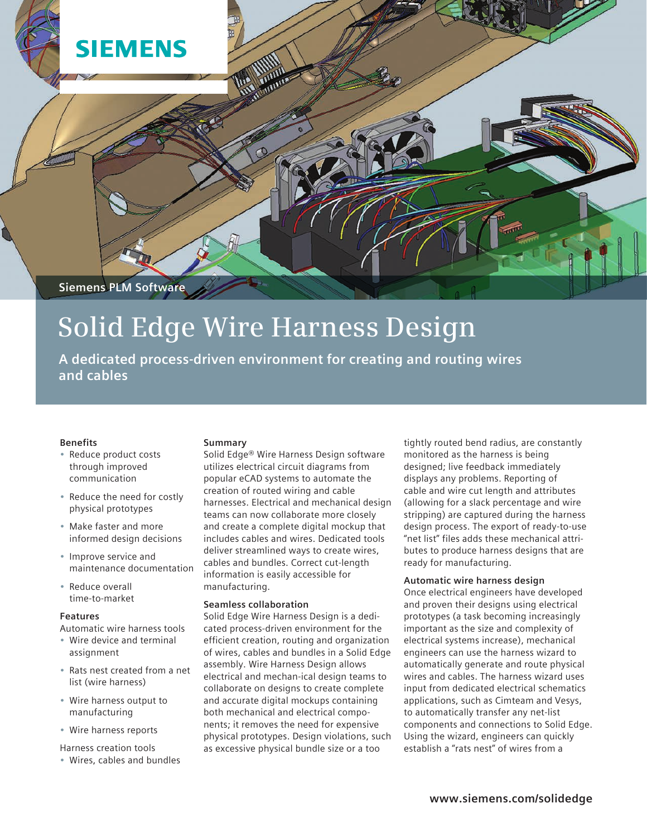

# **Solid Edge Wire Harness Design**

**A dedicated process-driven environment for creating and routing wires and cables**

#### **Benefits**

- • Reduce product costs through improved communication
- • Reduce the need for costly physical prototypes
- • Make faster and more informed design decisions
- • Improve service and maintenance documentation
- Reduce overall time-to-market

#### **Features**

Automatic wire harness tools

- • Wire device and terminal assignment
- • Rats nest created from a net list (wire harness)
- • Wire harness output to manufacturing
- • Wire harness reports
- Harness creation tools
- • Wires, cables and bundles

#### **Summary**

Solid Edge® Wire Harness Design software utilizes electrical circuit diagrams from popular eCAD systems to automate the creation of routed wiring and cable harnesses. Electrical and mechanical design teams can now collaborate more closely and create a complete digital mockup that includes cables and wires. Dedicated tools deliver streamlined ways to create wires, cables and bundles. Correct cut-length information is easily accessible for manufacturing.

# **Seamless collaboration**

Solid Edge Wire Harness Design is a dedicated process-driven environment for the efficient creation, routing and organization of wires, cables and bundles in a Solid Edge assembly. Wire Harness Design allows electrical and mechan-ical design teams to collaborate on designs to create complete and accurate digital mockups containing both mechanical and electrical components; it removes the need for expensive physical prototypes. Design violations, such as excessive physical bundle size or a too

tightly routed bend radius, are constantly monitored as the harness is being designed; live feedback immediately displays any problems. Reporting of cable and wire cut length and attributes (allowing for a slack percentage and wire stripping) are captured during the harness design process. The export of ready-to-use "net list" files adds these mechanical attributes to produce harness designs that are ready for manufacturing.

# **Automatic wire harness design**

Once electrical engineers have developed and proven their designs using electrical prototypes (a task becoming increasingly important as the size and complexity of electrical systems increase), mechanical engineers can use the harness wizard to automatically generate and route physical wires and cables. The harness wizard uses input from dedicated electrical schematics applications, such as Cimteam and Vesys, to automatically transfer any net-list components and connections to Solid Edge. Using the wizard, engineers can quickly establish a "rats nest" of wires from a